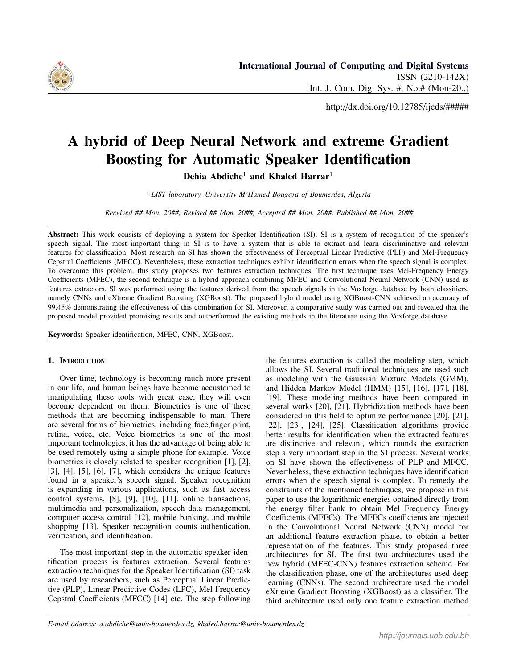

http://dx.doi.org/10.12785/ijcds/#####

# A hybrid of Deep Neural Network and extreme Gradient Boosting for Automatic Speaker Identification

Dehia Abdiche<sup>1</sup> and Khaled Harrar<sup>1</sup>

<sup>1</sup> *LIST laboratory, University M'Hamed Bougara of Boumerdes, Algeria*

*Received ## Mon. 20##, Revised ## Mon. 20##, Accepted ## Mon. 20##, Published ## Mon. 20##*

Abstract: This work consists of deploying a system for Speaker Identification (SI). SI is a system of recognition of the speaker's speech signal. The most important thing in SI is to have a system that is able to extract and learn discriminative and relevant features for classification. Most research on SI has shown the effectiveness of Perceptual Linear Predictive (PLP) and Mel-Frequency Cepstral Coefficients (MFCC). Nevertheless, these extraction techniques exhibit identification errors when the speech signal is complex. To overcome this problem, this study proposes two features extraction techniques. The first technique uses Mel-Frequency Energy Coefficients (MFEC), the second technique is a hybrid approach combining MFEC and Convolutional Neural Network (CNN) used as features extractors. SI was performed using the features derived from the speech signals in the Voxforge database by both classifiers, namely CNNs and eXtreme Gradient Boosting (XGBoost). The proposed hybrid model using XGBoost-CNN achieved an accuracy of 99.45% demonstrating the effectiveness of this combination for SI. Moreover, a comparative study was carried out and revealed that the proposed model provided promising results and outperformed the existing methods in the literature using the Voxforge database.

Keywords: Speaker identification, MFEC, CNN, XGBoost.

## 1. INTRODUCTION

Over time, technology is becoming much more present in our life, and human beings have become accustomed to manipulating these tools with great ease, they will even become dependent on them. Biometrics is one of these methods that are becoming indispensable to man. There are several forms of biometrics, including face,finger print, retina, voice, etc. Voice biometrics is one of the most important technologies, it has the advantage of being able to be used remotely using a simple phone for example. Voice biometrics is closely related to speaker recognition [1], [2], [3], [4], [5], [6], [7], which considers the unique features found in a speaker's speech signal. Speaker recognition is expanding in various applications, such as fast access control systems, [8], [9], [10], [11]. online transactions, multimedia and personalization, speech data management, computer access control [12], mobile banking, and mobile shopping [13]. Speaker recognition counts authentication, verification, and identification.

The most important step in the automatic speaker identification process is features extraction. Several features extraction techniques for the Speaker Identification (SI) task are used by researchers, such as Perceptual Linear Predictive (PLP), Linear Predictive Codes (LPC), Mel Frequency Cepstral Coefficients (MFCC) [14] etc. The step following the features extraction is called the modeling step, which allows the SI. Several traditional techniques are used such as modeling with the Gaussian Mixture Models (GMM), and Hidden Markov Model (HMM) [15], [16], [17], [18], [19]. These modeling methods have been compared in several works [20], [21]. Hybridization methods have been considered in this field to optimize performance [20], [21], [22], [23], [24], [25]. Classification algorithms provide better results for identification when the extracted features are distinctive and relevant, which rounds the extraction step a very important step in the SI process. Several works on SI have shown the effectiveness of PLP and MFCC. Nevertheless, these extraction techniques have identification errors when the speech signal is complex. To remedy the constraints of the mentioned techniques, we propose in this paper to use the logarithmic energies obtained directly from the energy filter bank to obtain Mel Frequency Energy Coefficients (MFECs). The MFECs coefficients are injected in the Convolutional Neural Network (CNN) model for an additional feature extraction phase, to obtain a better representation of the features. This study proposed three architectures for SI. The first two architectures used the new hybrid (MFEC-CNN) features extraction scheme. For the classification phase, one of the architectures used deep learning (CNNs). The second architecture used the model eXtreme Gradient Boosting (XGBoost) as a classifier. The third architecture used only one feature extraction method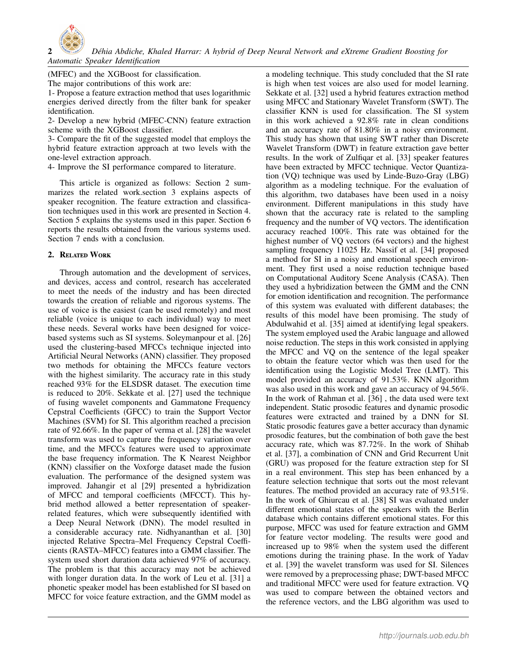

(MFEC) and the XGBoost for classification.

The major contributions of this work are:

1- Propose a feature extraction method that uses logarithmic energies derived directly from the filter bank for speaker identification.

2- Develop a new hybrid (MFEC-CNN) feature extraction scheme with the XGBoost classifier.

3- Compare the fit of the suggested model that employs the hybrid feature extraction approach at two levels with the one-level extraction approach.

4- Improve the SI performance compared to literature.

This article is organized as follows: Section 2 summarizes the related work.section 3 explains aspects of speaker recognition. The feature extraction and classification techniques used in this work are presented in Section 4. Section 5 explains the systems used in this paper. Section 6 reports the results obtained from the various systems used. Section 7 ends with a conclusion.

## 2. Related Work

Through automation and the development of services, and devices, access and control, research has accelerated to meet the needs of the industry and has been directed towards the creation of reliable and rigorous systems. The use of voice is the easiest (can be used remotely) and most reliable (voice is unique to each individual) way to meet these needs. Several works have been designed for voicebased systems such as SI systems. Soleymanpour et al. [26] used the clustering-based MFCCs technique injected into Artificial Neural Networks (ANN) classifier. They proposed two methods for obtaining the MFCCs feature vectors with the highest similarity. The accuracy rate in this study reached 93% for the ELSDSR dataset. The execution time is reduced to 20%. Sekkate et al. [27] used the technique of fusing wavelet components and Gammatone Frequency Cepstral Coefficients (GFCC) to train the Support Vector Machines (SVM) for SI. This algorithm reached a precision rate of 92.66%. In the paper of verma et al. [28] the wavelet transform was used to capture the frequency variation over time, and the MFCCs features were used to approximate the base frequency information. The K Nearest Neighbor (KNN) classifier on the Voxforge dataset made the fusion evaluation. The performance of the designed system was improved. Jahangir et al [29] presented a hybridization of MFCC and temporal coefficients (MFCCT). This hybrid method allowed a better representation of speakerrelated features, which were subsequently identified with a Deep Neural Network (DNN). The model resulted in a considerable accuracy rate. Nidhyananthan et al. [30] injected Relative Spectra–Mel Frequency Cepstral Coefficients (RASTA–MFCC) features into a GMM classifier. The system used short duration data achieved 97% of accuracy. The problem is that this accuracy may not be achieved with longer duration data. In the work of Leu et al. [31] a phonetic speaker model has been established for SI based on MFCC for voice feature extraction, and the GMM model as

a modeling technique. This study concluded that the SI rate is high when test voices are also used for model learning. Sekkate et al. [32] used a hybrid features extraction method using MFCC and Stationary Wavelet Transform (SWT). The classifier KNN is used for classification. The SI system in this work achieved a 92.8% rate in clean conditions and an accuracy rate of 81.80% in a noisy environment. This study has shown that using SWT rather than Discrete Wavelet Transform (DWT) in feature extraction gave better results. In the work of Zulfiqar et al. [33] speaker features have been extracted by MFCC technique. Vector Quantization (VQ) technique was used by Linde-Buzo-Gray (LBG) algorithm as a modeling technique. For the evaluation of this algorithm, two databases have been used in a noisy environment. Different manipulations in this study have shown that the accuracy rate is related to the sampling frequency and the number of VQ vectors. The identification accuracy reached 100%. This rate was obtained for the highest number of VQ vectors (64 vectors) and the highest sampling frequency 11025 Hz. Nassif et al. [34] proposed a method for SI in a noisy and emotional speech environment. They first used a noise reduction technique based on Computational Auditory Scene Analysis (CASA). Then they used a hybridization between the GMM and the CNN for emotion identification and recognition. The performance of this system was evaluated with different databases; the results of this model have been promising. The study of Abdulwahid et al. [35] aimed at identifying legal speakers. The system employed used the Arabic language and allowed noise reduction. The steps in this work consisted in applying the MFCC and VQ on the sentence of the legal speaker to obtain the feature vector which was then used for the identification using the Logistic Model Tree (LMT). This model provided an accuracy of 91.53%. KNN algorithm was also used in this work and gave an accuracy of 94.56%. In the work of Rahman et al. [36] , the data used were text independent. Static prosodic features and dynamic prosodic features were extracted and trained by a DNN for SI. Static prosodic features gave a better accuracy than dynamic prosodic features, but the combination of both gave the best accuracy rate, which was 87.72%. In the work of Shihab et al. [37], a combination of CNN and Grid Recurrent Unit (GRU) was proposed for the feature extraction step for SI in a real environment. This step has been enhanced by a feature selection technique that sorts out the most relevant features. The method provided an accuracy rate of 93.51%. In the work of Ghiurcau et al. [38] SI was evaluated under different emotional states of the speakers with the Berlin database which contains different emotional states. For this purpose, MFCC was used for feature extraction and GMM for feature vector modeling. The results were good and increased up to 98% when the system used the different emotions during the training phase. In the work of Yadav et al. [39] the wavelet transform was used for SI. Silences were removed by a preprocessing phase; DWT-based MFCC and traditional MFCC were used for feature extraction. VQ was used to compare between the obtained vectors and the reference vectors, and the LBG algorithm was used to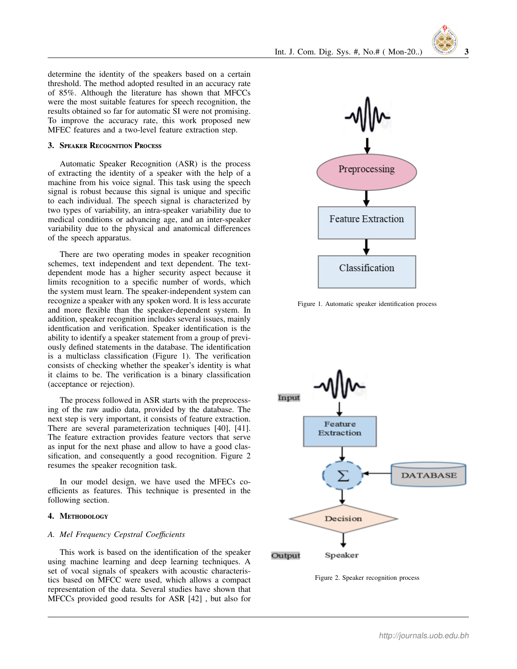determine the identity of the speakers based on a certain threshold. The method adopted resulted in an accuracy rate of 85%. Although the literature has shown that MFCCs were the most suitable features for speech recognition, the results obtained so far for automatic SI were not promising. To improve the accuracy rate, this work proposed new MFEC features and a two-level feature extraction step.

## 3. Speaker Recognition Process

Automatic Speaker Recognition (ASR) is the process of extracting the identity of a speaker with the help of a machine from his voice signal. This task using the speech signal is robust because this signal is unique and specific to each individual. The speech signal is characterized by two types of variability, an intra-speaker variability due to medical conditions or advancing age, and an inter-speaker variability due to the physical and anatomical differences of the speech apparatus.

There are two operating modes in speaker recognition schemes, text independent and text dependent. The textdependent mode has a higher security aspect because it limits recognition to a specific number of words, which the system must learn. The speaker-independent system can recognize a speaker with any spoken word. It is less accurate and more flexible than the speaker-dependent system. In addition, speaker recognition includes several issues, mainly identfication and verification. Speaker identification is the ability to identify a speaker statement from a group of previously defined statements in the database. The identification is a multiclass classification (Figure 1). The verification consists of checking whether the speaker's identity is what it claims to be. The verification is a binary classification (acceptance or rejection).

The process followed in ASR starts with the preprocessing of the raw audio data, provided by the database. The next step is very important, it consists of feature extraction. There are several parameterization techniques [40], [41]. The feature extraction provides feature vectors that serve as input for the next phase and allow to have a good classification, and consequently a good recognition. Figure 2 resumes the speaker recognition task.

In our model design, we have used the MFECs coefficients as features. This technique is presented in the following section.

## 4. Methodology

## *A. Mel Frequency Cepstral Coe*ffi*cients*

This work is based on the identification of the speaker using machine learning and deep learning techniques. A set of vocal signals of speakers with acoustic characteristics based on MFCC were used, which allows a compact representation of the data. Several studies have shown that MFCCs provided good results for ASR [42] , but also for



Figure 1. Automatic speaker identification process



Figure 2. Speaker recognition process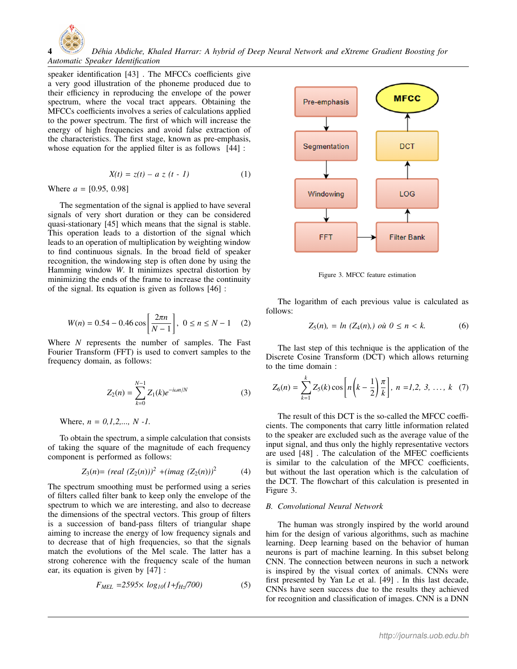4 *D´ehia Abdiche, Khaled Harrar: A hybrid of Deep Neural Network and eXtreme Gradient Boosting for Automatic Speaker Identification*

speaker identification [43] . The MFCCs coefficients give a very good illustration of the phoneme produced due to their efficiency in reproducing the envelope of the power spectrum, where the vocal tract appears. Obtaining the MFCCs coefficients involves a series of calculations applied to the power spectrum. The first of which will increase the energy of high frequencies and avoid false extraction of the characteristics. The first stage, known as pre-emphasis, whose equation for the applied filter is as follows  $\left[44\right]$ :

$$
X(t) = z(t) - a z (t - 1)
$$
 (1)

Where  $a = [0.95, 0.98]$ 

The segmentation of the signal is applied to have several signals of very short duration or they can be considered quasi-stationary [45] which means that the signal is stable. This operation leads to a distortion of the signal which leads to an operation of multiplication by weighting window to find continuous signals. In the broad field of speaker recognition, the windowing step is often done by using the Hamming window *W*. It minimizes spectral distortion by minimizing the ends of the frame to increase the continuity of the signal. Its equation is given as follows [46] :

$$
W(n) = 0.54 - 0.46 \cos\left[\frac{2\pi n}{N - 1}\right], \ 0 \le n \le N - 1 \quad (2)
$$

Where *N* represents the number of samples. The Fast Fourier Transform (FFT) is used to convert samples to the frequency domain, as follows:

$$
Z_2(n) = \sum_{k=0}^{N-1} Z_1(k)e^{-i\omega n/N}
$$
 (3)

Where, *n* = *0,1,2,..., N -1.*

To obtain the spectrum, a simple calculation that consists of taking the square of the magnitude of each frequency component is performed as follows:

$$
Z_3(n) = (real (Z_2(n)))^2 + (imag (Z_2(n)))^2 \qquad (4)
$$

The spectrum smoothing must be performed using a series of filters called filter bank to keep only the envelope of the spectrum to which we are interesting, and also to decrease the dimensions of the spectral vectors. This group of filters is a succession of band-pass filters of triangular shape aiming to increase the energy of low frequency signals and to decrease that of high frequencies, so that the signals match the evolutions of the Mel scale. The latter has a strong coherence with the frequency scale of the human ear, its equation is given by [47] :

$$
F_{MEL} = 2595 \times \log_{10}(1 + f_{Hz}/700) \tag{5}
$$



Figure 3. MFCC feature estimation

The logarithm of each previous value is calculated as follows:

$$
Z_5(n) = \ln (Z_4(n)) \text{ où } 0 \le n < k. \tag{6}
$$

The last step of this technique is the application of the Discrete Cosine Transform (DCT) which allows returning to the time domain :

$$
Z_6(n) = \sum_{k=1}^k Z_5(k) \cos \left[ n \left( k - \frac{1}{2} \right) \frac{\pi}{k} \right], \ n = 1, 2, 3, \ \ldots, \ k \ \ (7)
$$

The result of this DCT is the so-called the MFCC coefficients. The components that carry little information related to the speaker are excluded such as the average value of the input signal, and thus only the highly representative vectors are used [48] . The calculation of the MFEC coefficients is similar to the calculation of the MFCC coefficients, but without the last operation which is the calculation of the DCT. The flowchart of this calculation is presented in Figure 3.

## *B. Convolutional Neural Network*

The human was strongly inspired by the world around him for the design of various algorithms, such as machine learning. Deep learning based on the behavior of human neurons is part of machine learning. In this subset belong CNN. The connection between neurons in such a network is inspired by the visual cortex of animals. CNNs were first presented by Yan Le et al. [49] . In this last decade, CNNs have seen success due to the results they achieved for recognition and classification of images. CNN is a DNN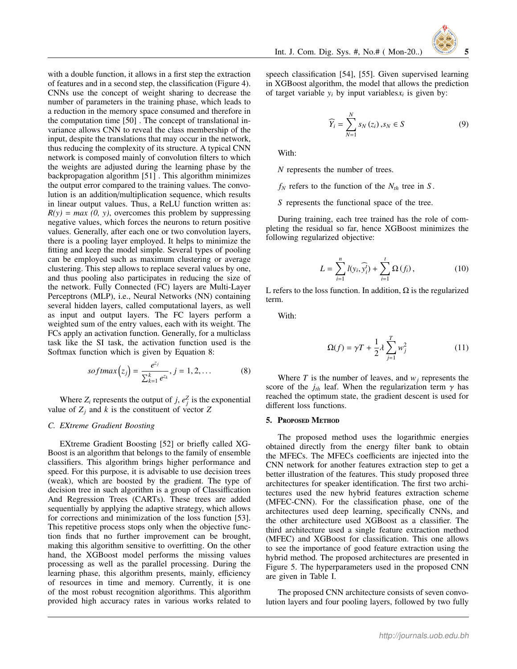with a double function, it allows in a first step the extraction of features and in a second step, the classification (Figure 4). CNNs use the concept of weight sharing to decrease the number of parameters in the training phase, which leads to a reduction in the memory space consumed and therefore in the computation time [50] . The concept of translational invariance allows CNN to reveal the class membership of the input, despite the translations that may occur in the network, thus reducing the complexity of its structure. A typical CNN network is composed mainly of convolution filters to which the weights are adjusted during the learning phase by the backpropagation algorithm [51] . This algorithm minimizes the output error compared to the training values. The convolution is an addition/multiplication sequence, which results in linear output values. Thus, a ReLU function written as:  $R(y) = max (0, y)$ , overcomes this problem by suppressing negative values, which forces the neurons to return positive values. Generally, after each one or two convolution layers, there is a pooling layer employed. It helps to minimize the fitting and keep the model simple. Several types of pooling can be employed such as maximum clustering or average clustering. This step allows to replace several values by one, and thus pooling also participates in reducing the size of the network. Fully Connected (FC) layers are Multi-Layer Perceptrons (MLP), i.e., Neural Networks (NN) containing several hidden layers, called computational layers, as well as input and output layers. The FC layers perform a weighted sum of the entry values, each with its weight. The FCs apply an activation function. Generally, for a multiclass task like the SI task, the activation function used is the Softmax function which is given by Equation 8:

$$
softmax(z_j) = \frac{e^{z_j}}{\sum_{k=1}^{k} e^{z_k}}, j = 1, 2, ...
$$
 (8)

Where  $Z_i$  represents the output of *j*,  $e_j^Z$  is the exponential value of  $Z_i$  and  $k$  is the constituent of vector  $Z$ 

#### *C. EXtreme Gradient Boosting*

EXtreme Gradient Boosting [52] or briefly called XG-Boost is an algorithm that belongs to the family of ensemble classifiers. This algorithm brings higher performance and speed. For this purpose, it is advisable to use decision trees (weak), which are boosted by the gradient. The type of decision tree in such algorithm is a group of Classiffication And Regression Trees (CARTs). These trees are added sequentially by applying the adaptive strategy, which allows for corrections and minimization of the loss function [53]. This repetitive process stops only when the objective function finds that no further improvement can be brought, making this algorithm sensitive to overfitting. On the other hand, the XGBoost model performs the missing values processing as well as the parallel processing. During the learning phase, this algorithm presents, mainly, efficiency of resources in time and memory. Currently, it is one of the most robust recognition algorithms. This algorithm provided high accuracy rates in various works related to



speech classification [54], [55]. Given supervised learning in XGBoost algorithm, the model that allows the prediction of target variable  $y_i$  by input variables  $x_i$  is given by:

$$
\widehat{Y}_i = \sum_{N=1}^{N} s_N(z_i), s_N \in S
$$
\n(9)

With:

*N* represents the number of trees.

 $f_N$  refers to the function of the  $N_{th}$  tree in *S*.

*S* represents the functional space of the tree.

During training, each tree trained has the role of completing the residual so far, hence XGBoost minimizes the following regularized objective:

$$
L = \sum_{i=1}^{n} l(y_i, \widehat{y}_i^t) + \sum_{i=1}^{t} \Omega(f_i), \qquad (10)
$$

L refers to the loss function. In addition,  $\Omega$  is the regularized term.

With:

$$
\Omega(f) = \gamma T + \frac{1}{2} \lambda \sum_{j=1}^{T} w_j^2 \tag{11}
$$

Where  $T$  is the number of leaves, and  $w_j$  represents the score of the  $j<sub>th</sub>$  leaf. When the regularization term  $\gamma$  has reached the optimum state, the gradient descent is used for different loss functions.

#### 5. Proposed Method

The proposed method uses the logarithmic energies obtained directly from the energy filter bank to obtain the MFECs. The MFECs coefficients are injected into the CNN network for another features extraction step to get a better illustration of the features. This study proposed three architectures for speaker identification. The first two architectures used the new hybrid features extraction scheme (MFEC-CNN). For the classification phase, one of the architectures used deep learning, specifically CNNs, and the other architecture used XGBoost as a classifier. The third architecture used a single feature extraction method (MFEC) and XGBoost for classification. This one allows to see the importance of good feature extraction using the hybrid method. The proposed architectures are presented in Figure 5. The hyperparameters used in the proposed CNN are given in Table I.

The proposed CNN architecture consists of seven convolution layers and four pooling layers, followed by two fully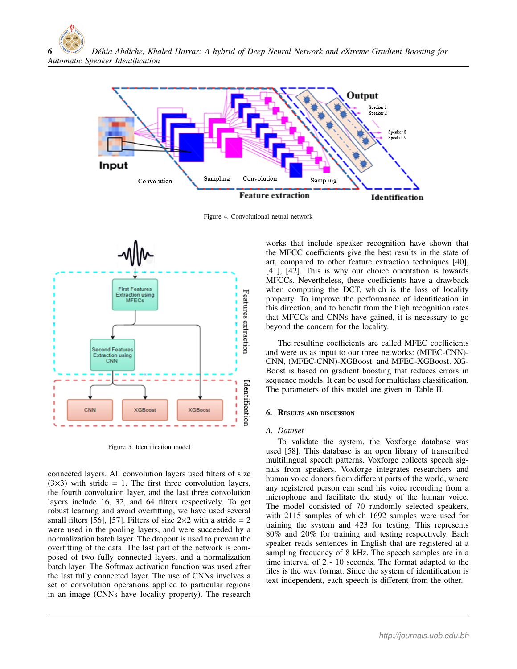

Figure 4. Convolutional neural network



Figure 5. Identification model

connected layers. All convolution layers used filters of size  $(3\times3)$  with stride = 1. The first three convolution layers, the fourth convolution layer, and the last three convolution layers include 16, 32, and 64 filters respectively. To get robust learning and avoid overfitting, we have used several small filters [56], [57]. Filters of size  $2 \times 2$  with a stride = 2 were used in the pooling layers, and were succeeded by a normalization batch layer. The dropout is used to prevent the overfitting of the data. The last part of the network is composed of two fully connected layers, and a normalization batch layer. The Softmax activation function was used after the last fully connected layer. The use of CNNs involves a set of convolution operations applied to particular regions in an image (CNNs have locality property). The research

works that include speaker recognition have shown that the MFCC coefficients give the best results in the state of art, compared to other feature extraction techniques [40], [41], [42]. This is why our choice orientation is towards MFCCs. Nevertheless, these coefficients have a drawback when computing the DCT, which is the loss of locality property. To improve the performance of identification in this direction, and to benefit from the high recognition rates that MFCCs and CNNs have gained, it is necessary to go beyond the concern for the locality.

The resulting coefficients are called MFEC coefficients and were us as input to our three networks: (MFEC-CNN)- CNN, (MFEC-CNN)-XGBoost. and MFEC-XGBoost. XG-Boost is based on gradient boosting that reduces errors in sequence models. It can be used for multiclass classification. The parameters of this model are given in Table II.

## 6. Results and discussion

## *A. Dataset*

To validate the system, the Voxforge database was used [58]. This database is an open library of transcribed multilingual speech patterns. Voxforge collects speech signals from speakers. Voxforge integrates researchers and human voice donors from different parts of the world, where any registered person can send his voice recording from a microphone and facilitate the study of the human voice. The model consisted of 70 randomly selected speakers, with 2115 samples of which 1692 samples were used for training the system and 423 for testing. This represents 80% and 20% for training and testing respectively. Each speaker reads sentences in English that are registered at a sampling frequency of 8 kHz. The speech samples are in a time interval of 2 - 10 seconds. The format adapted to the files is the wav format. Since the system of identification is text independent, each speech is different from the other.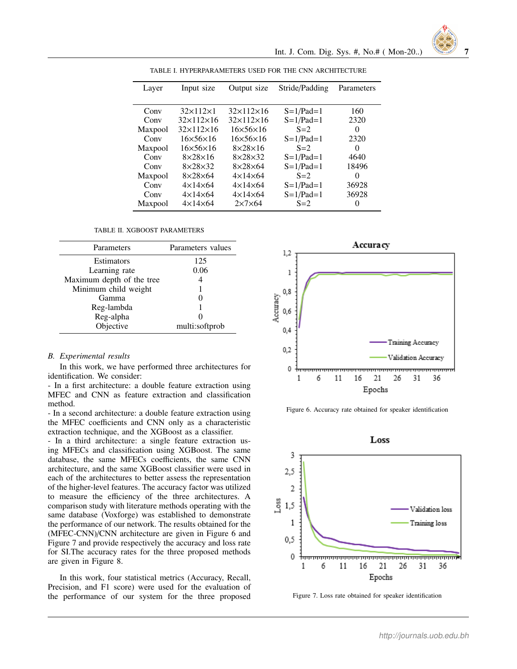| Layer   | Input size                | Output size           | Stride/Padding | Parameters |
|---------|---------------------------|-----------------------|----------------|------------|
|         |                           |                       |                |            |
| Conv    | $32\times112\times1$      | $32\times112\times16$ | $S=1/Pad=1$    | 160        |
| Conv    | $32 \times 112 \times 16$ | $32\times112\times16$ | $S=1/Pad=1$    | 2320       |
| Maxpool | $32\times112\times16$     | $16\times56\times16$  | $S=2$          | $\Omega$   |
| Conv    | $16\times56\times16$      | $16\times56\times16$  | $S=1/Pad=1$    | 2320       |
| Maxpool | $16\times56\times16$      | $8\times28\times16$   | $S=2$          | $\Omega$   |
| Conv    | $8\times28\times16$       | $8\times28\times32$   | $S=1/Pad=1$    | 4640       |
| Conv    | $8\times28\times32$       | $8\times28\times64$   | $S=1/Pad=1$    | 18496      |
| Maxpool | $8\times28\times64$       | $4\times14\times64$   | $S=2$          | $\Omega$   |
| Conv    | $4\times14\times64$       | $4\times14\times64$   | $S=1/Pad=1$    | 36928      |
| Conv    | $4\times14\times64$       | $4\times14\times64$   | $S=1/Pad=1$    | 36928      |
| Maxpool | $4\times14\times64$       | $2\times7\times64$    | $S=2$          | $\Omega$   |

TABLE I. HYPERPARAMETERS USED FOR THE CNN ARCHITECTURE

TABLE II. XGBOOST PARAMETERS

| Parameters                | Parameters values |  |
|---------------------------|-------------------|--|
| <b>Estimators</b>         | 125               |  |
| Learning rate             | 0.06              |  |
| Maximum depth of the tree | 4                 |  |
| Minimum child weight      |                   |  |
| Gamma                     |                   |  |
| Reg-lambda                |                   |  |
| Reg-alpha                 |                   |  |
| Objective                 | multi:softprob    |  |

#### *B. Experimental results*

In this work, we have performed three architectures for identification. We consider:

- In a first architecture: a double feature extraction using MFEC and CNN as feature extraction and classification method.

- In a second architecture: a double feature extraction using the MFEC coefficients and CNN only as a characteristic extraction technique, and the XGBoost as a classifier.

- In a third architecture: a single feature extraction using MFECs and classification using XGBoost. The same database, the same MFECs coefficients, the same CNN architecture, and the same XGBoost classifier were used in each of the architectures to better assess the representation of the higher-level features. The accuracy factor was utilized to measure the efficiency of the three architectures. A comparison study with literature methods operating with the same database (Voxforge) was established to demonstrate the performance of our network. The results obtained for the (MFEC-CNN)/CNN architecture are given in Figure 6 and Figure 7 and provide respectively the accuracy and loss rate for SI.The accuracy rates for the three proposed methods are given in Figure 8.

In this work, four statistical metrics (Accuracy, Recall, Precision, and F1 score) were used for the evaluation of the performance of our system for the three proposed



Int. J. Com. Dig. Sys. #, No.# ( Mon-20..) 7

Figure 6. Accuracy rate obtained for speaker identification



Figure 7. Loss rate obtained for speaker identification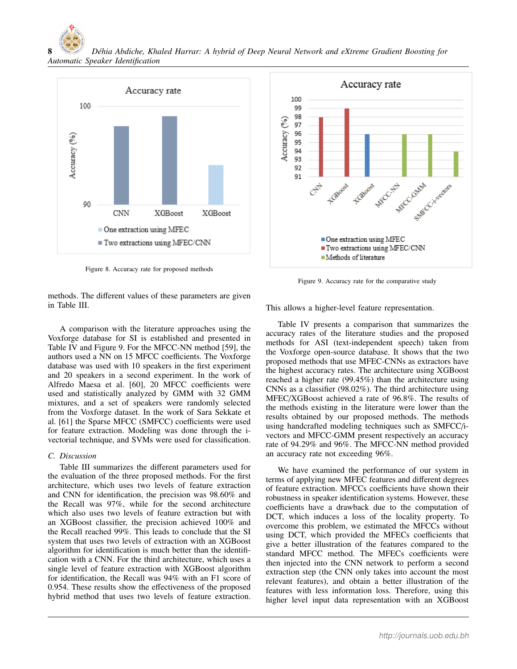8 *D´ehia Abdiche, Khaled Harrar: A hybrid of Deep Neural Network and eXtreme Gradient Boosting for Automatic Speaker Identification*



Figure 8. Accuracy rate for proposed methods



Figure 9. Accuracy rate for the comparative study

methods. The different values of these parameters are given in Table III.

A comparison with the literature approaches using the Voxforge database for SI is established and presented in Table IV and Figure 9. For the MFCC-NN method [59], the authors used a NN on 15 MFCC coefficients. The Voxforge database was used with 10 speakers in the first experiment and 20 speakers in a second experiment. In the work of Alfredo Maesa et al. [60], 20 MFCC coefficients were used and statistically analyzed by GMM with 32 GMM mixtures, and a set of speakers were randomly selected from the Voxforge dataset. In the work of Sara Sekkate et al. [61] the Sparse MFCC (SMFCC) coefficients were used for feature extraction. Modeling was done through the ivectorial technique, and SVMs were used for classification.

## *C. Discussion*

Table III summarizes the different parameters used for the evaluation of the three proposed methods. For the first architecture, which uses two levels of feature extraction and CNN for identification, the precision was 98.60% and the Recall was 97%, while for the second architecture which also uses two levels of feature extraction but with an XGBoost classifier, the precision achieved 100% and the Recall reached 99%. This leads to conclude that the SI system that uses two levels of extraction with an XGBoost algorithm for identification is much better than the identification with a CNN. For the third architecture, which uses a single level of feature extraction with XGBoost algorithm for identification, the Recall was 94% with an F1 score of 0.954. These results show the effectiveness of the proposed hybrid method that uses two levels of feature extraction.

This allows a higher-level feature representation.

Table IV presents a comparison that summarizes the accuracy rates of the literature studies and the proposed methods for ASI (text-independent speech) taken from the Voxforge open-source database. It shows that the two proposed methods that use MFEC-CNNs as extractors have the highest accuracy rates. The architecture using XGBoost reached a higher rate (99.45%) than the architecture using CNNs as a classifier (98.02%). The third architecture using MFEC/XGBoost achieved a rate of 96.8%. The results of the methods existing in the literature were lower than the results obtained by our proposed methods. The methods using handcrafted modeling techniques such as SMFCC/ivectors and MFCC-GMM present respectively an accuracy rate of 94.29% and 96%. The MFCC-NN method provided an accuracy rate not exceeding 96%.

We have examined the performance of our system in terms of applying new MFEC features and different degrees of feature extraction. MFCCs coefficients have shown their robustness in speaker identification systems. However, these coefficients have a drawback due to the computation of DCT, which induces a loss of the locality property. To overcome this problem, we estimated the MFCCs without using DCT, which provided the MFECs coefficients that give a better illustration of the features compared to the standard MFCC method. The MFECs coefficients were then injected into the CNN network to perform a second extraction step (the CNN only takes into account the most relevant features), and obtain a better illustration of the features with less information loss. Therefore, using this higher level input data representation with an XGBoost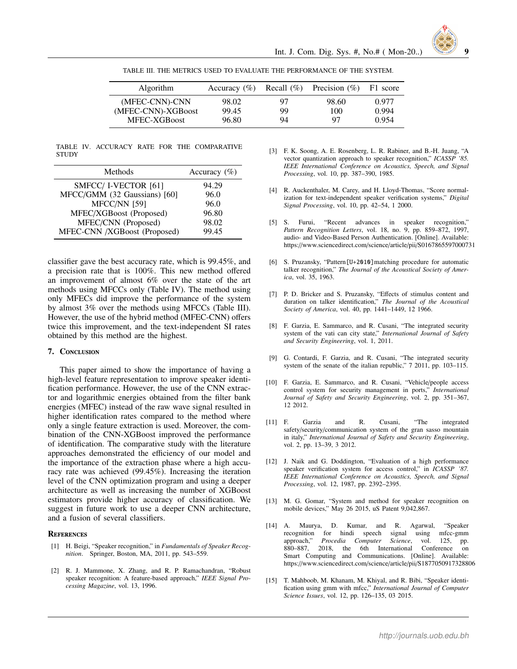TABLE III. THE METRICS USED TO EVALUATE THE PERFORMANCE OF THE SYSTEM.

| <b>Algorithm</b>   | Accuracy $(\% )$ | Recall $(\% )$ | Precision $(\% )$ | F1 score |
|--------------------|------------------|----------------|-------------------|----------|
| (MFEC-CNN)-CNN     | 98.02            | 97             | 98.60             | 0.977    |
| (MFEC-CNN)-XGBoost | 99.45            | 99             | 100               | 0.994    |
| MFEC-XGBoost       | 96.80            | 94             | 97                | 0.954    |

TABLE IV. ACCURACY RATE FOR THE COMPARATIVE **STUDY** 

| Methods                      | Accuracy $(\% )$ |
|------------------------------|------------------|
| SMFCC/I-VECTOR [61]          | 94.29            |
| MFCC/GMM (32 Gaussians) [60] | 96.0             |
| MFCC/NN [59]                 | 96.0             |
| MFEC/XGBoost (Proposed)      | 96.80            |
| MFEC/CNN (Proposed)          | 98.02            |
| MFEC-CNN /XGBoost (Proposed) | 99.45            |

classifier gave the best accuracy rate, which is 99.45%, and a precision rate that is 100%. This new method offered an improvement of almost 6% over the state of the art methods using MFCCs only (Table IV). The method using only MFECs did improve the performance of the system by almost 3% over the methods using MFCCs (Table III). However, the use of the hybrid method (MFEC-CNN) offers twice this improvement, and the text-independent SI rates obtained by this method are the highest.

## 7. Conclusion

This paper aimed to show the importance of having a high-level feature representation to improve speaker identification performance. However, the use of the CNN extractor and logarithmic energies obtained from the filter bank energies (MFEC) instead of the raw wave signal resulted in higher identification rates compared to the method where only a single feature extraction is used. Moreover, the combination of the CNN-XGBoost improved the performance of identification. The comparative study with the literature approaches demonstrated the efficiency of our model and the importance of the extraction phase where a high accuracy rate was achieved (99.45%). Increasing the iteration level of the CNN optimization program and using a deeper architecture as well as increasing the number of XGBoost estimators provide higher accuracy of classification. We suggest in future work to use a deeper CNN architecture, and a fusion of several classifiers.

#### **REFERENCES**

- [1] H. Beigi, "Speaker recognition," in *Fundamentals of Speaker Recognition*. Springer, Boston, MA, 2011, pp. 543–559.
- [2] R. J. Mammone, X. Zhang, and R. P. Ramachandran, "Robust speaker recognition: A feature-based approach," *IEEE Signal Processing Magazine*, vol. 13, 1996.
- [3] F. K. Soong, A. E. Rosenberg, L. R. Rabiner, and B.-H. Juang, "A vector quantization approach to speaker recognition," *ICASSP '85. IEEE International Conference on Acoustics, Speech, and Signal Processing*, vol. 10, pp. 387–390, 1985.
- [4] R. Auckenthaler, M. Carey, and H. Lloyd-Thomas, "Score normalization for text-independent speaker verification systems," *Digital Signal Processing*, vol. 10, pp. 42–54, 1 2000.
- [5] S. Furui, "Recent advances in speaker recognition," *Pattern Recognition Letters*, vol. 18, no. 9, pp. 859–872, 1997, audio- and Video-Based Person Authentication. [Online]. Available: https://www.sciencedirect.com/science/article/pii/S0167865597000731
- [6] S. Pruzansky, "Pattern[U+2010]matching procedure for automatic talker recognition," *The Journal of the Acoustical Society of America*, vol. 35, 1963.
- [7] P. D. Bricker and S. Pruzansky, "Effects of stimulus content and duration on talker identification," *The Journal of the Acoustical Society of America*, vol. 40, pp. 1441–1449, 12 1966.
- [8] F. Garzia, E. Sammarco, and R. Cusani, "The integrated security system of the vati can city state," *International Journal of Safety and Security Engineering*, vol. 1, 2011.
- [9] G. Contardi, F. Garzia, and R. Cusani, "The integrated security system of the senate of the italian republic," 7 2011, pp. 103–115.
- [10] F. Garzia, E. Sammarco, and R. Cusani, "Vehicle/people access control system for security management in ports," *International Journal of Safety and Security Engineering*, vol. 2, pp. 351–367, 12 2012.
- [11] F. Garzia and R. Cusani, "The integrated safety/security/communication system of the gran sasso mountain in italy," *International Journal of Safety and Security Engineering*, vol. 2, pp. 13–39, 3 2012.
- [12] J. Naik and G. Doddington, "Evaluation of a high performance speaker verification system for access control," in *ICASSP '87. IEEE International Conference on Acoustics, Speech, and Signal Processing*, vol. 12, 1987, pp. 2392–2395.
- [13] M. G. Gomar, "System and method for speaker recognition on mobile devices," May 26 2015, uS Patent 9,042,867.
- [14] A. Maurya, D. Kumar, and R. Agarwal, "Speaker recognition for hindi speech signal using mfcc-gmm<br>approach," Procedia Computer Science, vol. 125, pp. approach," Procedia Computer Science, vol. 880–887, 2018, the 6th International Conference on Smart Computing and Communications. [Online]. Available: https://www.sciencedirect.com/science/article/pii/S1877050917328806
- [15] T. Mahboob, M. Khanam, M. Khiyal, and R. Bibi, "Speaker identification using gmm with mfcc," *International Journal of Computer Science Issues*, vol. 12, pp. 126–135, 03 2015.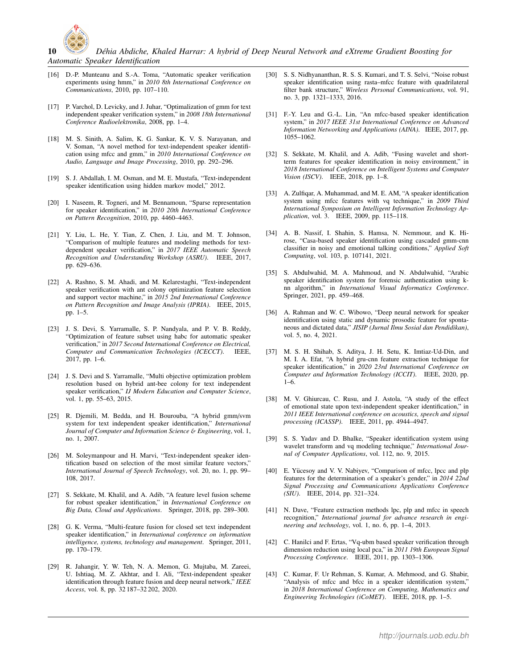

10 *D´ehia Abdiche, Khaled Harrar: A hybrid of Deep Neural Network and eXtreme Gradient Boosting for Automatic Speaker Identification*

- [16] D.-P. Munteanu and S.-A. Toma, "Automatic speaker verification experiments using hmm," in *2010 8th International Conference on Communications*, 2010, pp. 107–110.
- [17] P. Varchol, D. Levicky, and J. Juhar, "Optimalization of gmm for text independent speaker verification system," in *2008 18th International Conference Radioelektronika*, 2008, pp. 1–4.
- [18] M. S. Sinith, A. Salim, K. G. Sankar, K. V. S. Narayanan, and V. Soman, "A novel method for text-independent speaker identification using mfcc and gmm," in *2010 International Conference on Audio, Language and Image Processing*, 2010, pp. 292–296.
- [19] S. J. Abdallah, I. M. Osman, and M. E. Mustafa, "Text-independent speaker identification using hidden markov model," 2012.
- [20] I. Naseem, R. Togneri, and M. Bennamoun, "Sparse representation for speaker identification," in *2010 20th International Conference on Pattern Recognition*, 2010, pp. 4460–4463.
- [21] Y. Liu, L. He, Y. Tian, Z. Chen, J. Liu, and M. T. Johnson, "Comparison of multiple features and modeling methods for textdependent speaker verification," in *2017 IEEE Automatic Speech Recognition and Understanding Workshop (ASRU)*. IEEE, 2017, pp. 629–636.
- [22] A. Rashno, S. M. Ahadi, and M. Kelarestaghi, "Text-independent speaker verification with ant colony optimization feature selection and support vector machine," in *2015 2nd International Conference on Pattern Recognition and Image Analysis (IPRIA)*. IEEE, 2015, pp. 1–5.
- [23] J. S. Devi, S. Yarramalle, S. P. Nandyala, and P. V. B. Reddy, "Optimization of feature subset using habc for automatic speaker verification," in *2017 Second International Conference on Electrical, Computer and Communication Technologies (ICECCT)*. IEEE, 2017, pp. 1–6.
- [24] J. S. Devi and S. Yarramalle, "Multi objective optimization problem resolution based on hybrid ant-bee colony for text independent speaker verification," *IJ Modern Education and Computer Science*, vol. 1, pp. 55–63, 2015.
- [25] R. Djemili, M. Bedda, and H. Bourouba, "A hybrid gmm/svm system for text independent speaker identification," *International Journal of Computer and Information Science* & *Engineering*, vol. 1, no. 1, 2007.
- [26] M. Soleymanpour and H. Marvi, "Text-independent speaker identification based on selection of the most similar feature vectors," *International Journal of Speech Technology*, vol. 20, no. 1, pp. 99– 108, 2017.
- [27] S. Sekkate, M. Khalil, and A. Adib, "A feature level fusion scheme for robust speaker identification," in *International Conference on Big Data, Cloud and Applications*. Springer, 2018, pp. 289–300.
- [28] G. K. Verma, "Multi-feature fusion for closed set text independent speaker identification," in *International conference on information intelligence, systems, technology and management*. Springer, 2011, pp. 170–179.
- [29] R. Jahangir, Y. W. Teh, N. A. Memon, G. Mujtaba, M. Zareei, U. Ishtiaq, M. Z. Akhtar, and I. Ali, "Text-independent speaker identification through feature fusion and deep neural network," *IEEE Access*, vol. 8, pp. 32 187–32 202, 2020.
- [30] S. S. Nidhyananthan, R. S. S. Kumari, and T. S. Selvi, "Noise robust speaker identification using rasta–mfcc feature with quadrilateral filter bank structure," *Wireless Personal Communications*, vol. 91, no. 3, pp. 1321–1333, 2016.
- [31] F.-Y. Leu and G.-L. Lin, "An mfcc-based speaker identification system," in *2017 IEEE 31st International Conference on Advanced Information Networking and Applications (AINA)*. IEEE, 2017, pp. 1055–1062.
- [32] S. Sekkate, M. Khalil, and A. Adib, "Fusing wavelet and shortterm features for speaker identification in noisy environment," in *2018 International Conference on Intelligent Systems and Computer Vision (ISCV)*. IEEE, 2018, pp. 1–8.
- [33] A. Zulfiqar, A. Muhammad, and M. E. AM, "A speaker identification system using mfcc features with vq technique," in *2009 Third International Symposium on Intelligent Information Technology Application*, vol. 3. IEEE, 2009, pp. 115–118.
- [34] A. B. Nassif, I. Shahin, S. Hamsa, N. Nemmour, and K. Hirose, "Casa-based speaker identification using cascaded gmm-cnn classifier in noisy and emotional talking conditions," *Applied Soft Computing*, vol. 103, p. 107141, 2021.
- [35] S. Abdulwahid, M. A. Mahmoud, and N. Abdulwahid, "Arabic speaker identification system for forensic authentication using knn algorithm," in *International Visual Informatics Conference*. Springer, 2021, pp. 459–468.
- [36] A. Rahman and W. C. Wibowo, "Deep neural network for speaker identification using static and dynamic prosodic feature for spontaneous and dictated data," *JISIP (Jurnal Ilmu Sosial dan Pendidikan)*, vol. 5, no. 4, 2021.
- [37] M. S. H. Shihab, S. Aditya, J. H. Setu, K. Imtiaz-Ud-Din, and M. I. A. Efat, "A hybrid gru-cnn feature extraction technique for speaker identification," in *2020 23rd International Conference on Computer and Information Technology (ICCIT)*. IEEE, 2020, pp. 1–6.
- [38] M. V. Ghiurcau, C. Rusu, and J. Astola, "A study of the effect of emotional state upon text-independent speaker identification," in *2011 IEEE International conference on acoustics, speech and signal processing (ICASSP)*. IEEE, 2011, pp. 4944–4947.
- [39] S. S. Yadav and D. Bhalke, "Speaker identification system using wavelet transform and vq modeling technique," *International Journal of Computer Applications*, vol. 112, no. 9, 2015.
- [40] E. Yücesoy and V. V. Nabiyev, "Comparison of mfcc, lpcc and plp features for the determination of a speaker's gender," in *2014 22nd Signal Processing and Communications Applications Conference (SIU)*. IEEE, 2014, pp. 321–324.
- [41] N. Dave, "Feature extraction methods lpc, plp and mfcc in speech recognition," *International journal for advance research in engineering and technology*, vol. 1, no. 6, pp. 1–4, 2013.
- [42] C. Hanilci and F. Ertas, "Vq-ubm based speaker verification through dimension reduction using local pca," in *2011 19th European Signal Processing Conference*. IEEE, 2011, pp. 1303–1306.
- [43] C. Kumar, F. Ur Rehman, S. Kumar, A. Mehmood, and G. Shabir, "Analysis of mfcc and bfcc in a speaker identification system," in *2018 International Conference on Computing, Mathematics and Engineering Technologies (iCoMET)*. IEEE, 2018, pp. 1–5.